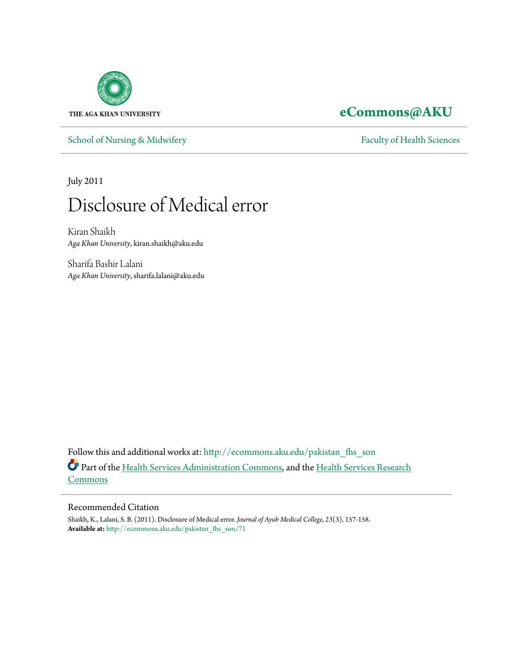

**[eCommons@AKU](http://ecommons.aku.edu?utm_source=ecommons.aku.edu%2Fpakistan_fhs_son%2F71&utm_medium=PDF&utm_campaign=PDFCoverPages)**

[School of Nursing & Midwifery](http://ecommons.aku.edu/pakistan_fhs_son?utm_source=ecommons.aku.edu%2Fpakistan_fhs_son%2F71&utm_medium=PDF&utm_campaign=PDFCoverPages) [Faculty of Health Sciences](http://ecommons.aku.edu/pakistan_fhs?utm_source=ecommons.aku.edu%2Fpakistan_fhs_son%2F71&utm_medium=PDF&utm_campaign=PDFCoverPages)

July 2011

# Disclosure of Medical error

Kiran Shaikh *Aga Khan University*, kiran.shaikh@aku.edu

Sharifa Bashir Lalani *Aga Khan University*, sharifa.lalani@aku.edu

Follow this and additional works at: [http://ecommons.aku.edu/pakistan\\_fhs\\_son](http://ecommons.aku.edu/pakistan_fhs_son?utm_source=ecommons.aku.edu%2Fpakistan_fhs_son%2F71&utm_medium=PDF&utm_campaign=PDFCoverPages) Part of the [Health Services Administration Commons,](http://network.bepress.com/hgg/discipline/747?utm_source=ecommons.aku.edu%2Fpakistan_fhs_son%2F71&utm_medium=PDF&utm_campaign=PDFCoverPages) and the [Health Services Research](http://network.bepress.com/hgg/discipline/816?utm_source=ecommons.aku.edu%2Fpakistan_fhs_son%2F71&utm_medium=PDF&utm_campaign=PDFCoverPages) [Commons](http://network.bepress.com/hgg/discipline/816?utm_source=ecommons.aku.edu%2Fpakistan_fhs_son%2F71&utm_medium=PDF&utm_campaign=PDFCoverPages)

#### Recommended Citation

Shaikh, K., Lalani, S. B. (2011). Disclosure of Medical error. *Journal of Ayub Medical College, 23*(3), 157-158. **Available at:** [http://ecommons.aku.edu/pakistan\\_fhs\\_son/71](http://ecommons.aku.edu/pakistan_fhs_son/71)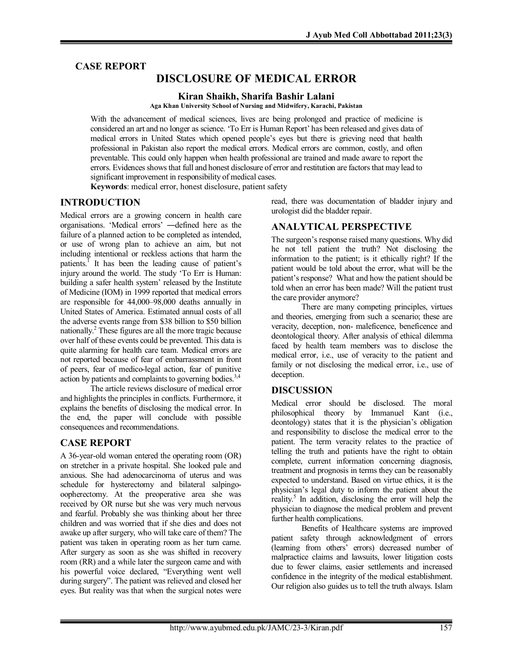# **CASE REPORT**

# **DISCLOSURE OF MEDICAL ERROR**

**Kiran Shaikh, Sharifa Bashir Lalani**

**Aga Khan University School of Nursing and Midwifery, Karachi, Pakistan**

With the advancement of medical sciences, lives are being prolonged and practice of medicine is considered an art and no longer as science. 'To Err is Human Report' has been released and gives data of medical errors in United States which opened people's eyes but there is grieving need that health professional in Pakistan also report the medical errors. Medical errors are common, costly, and often preventable. This could only happen when health professional are trained and made aware to report the errors. Evidences shows that full and honest disclosure of error and restitution are factors that may lead to significant improvement in responsibility of medical cases.

**Keywords**: medical error, honest disclosure, patient safety

# **INTRODUCTION**

Medical errors are a growing concern in health care organisations. 'Medical errors' ―defined here as the failure of a planned action to be completed as intended, or use of wrong plan to achieve an aim, but not including intentional or reckless actions that harm the patients.<sup>1</sup> It has been the leading cause of patient's injury around the world. The study 'To Err is Human: building a safer health system' released by the Institute of Medicine (IOM) in 1999 reported that medical errors are responsible for 44,000–98,000 deaths annually in United States of America. Estimated annual costs of all the adverse events range from \$38 billion to \$50 billion nationally.<sup>2</sup> These figures are all the more tragic because over half of these events could be prevented. This data is quite alarming for health care team. Medical errors are not reported because of fear of embarrassment in front of peers, fear of medico-legal action, fear of punitive action by patients and complaints to governing bodies.<sup>3,4</sup>

The article reviews disclosure of medical error and highlights the principles in conflicts. Furthermore, it explains the benefits of disclosing the medical error. In the end, the paper will conclude with possible consequences and recommendations.

## **CASE REPORT**

A 36-year-old woman entered the operating room (OR) on stretcher in a private hospital. She looked pale and anxious. She had adenocarcinoma of uterus and was schedule for hysterectomy and bilateral salpingooopherectomy. At the preoperative area she was received by OR nurse but she was very much nervous and fearful. Probably she was thinking about her three children and was worried that if she dies and does not awake up after surgery, who will take care of them? The patient was taken in operating room as her turn came. After surgery as soon as she was shifted in recovery room (RR) and a while later the surgeon came and with his powerful voice declared, "Everything went well during surgery". The patient was relieved and closed her eyes. But reality was that when the surgical notes were read, there was documentation of bladder injury and urologist did the bladder repair.

#### **ANALYTICAL PERSPECTIVE**

The surgeon's response raised many questions. Why did he not tell patient the truth? Not disclosing the information to the patient; is it ethically right? If the patient would be told about the error, what will be the patient's response? What and how the patient should be told when an error has been made? Will the patient trust the care provider anymore?

There are many competing principles, virtues and theories, emerging from such a scenario; these are veracity, deception, non- maleficence, beneficence and deontological theory. After analysis of ethical dilemma faced by health team members was to disclose the medical error, i.e., use of veracity to the patient and family or not disclosing the medical error, i.e., use of deception.

#### **DISCUSSION**

Medical error should be disclosed. The moral philosophical theory by Immanuel Kant (i.e., deontology) states that it is the physician's obligation and responsibility to disclose the medical error to the patient. The term veracity relates to the practice of telling the truth and patients have the right to obtain complete, current information concerning diagnosis, treatment and prognosis in terms they can be reasonably expected to understand. Based on virtue ethics, it is the physician's legal duty to inform the patient about the reality.<sup>5</sup> In addition, disclosing the error will help the physician to diagnose the medical problem and prevent further health complications.

Benefits of Healthcare systems are improved patient safety through acknowledgment of errors (learning from others' errors) decreased number of malpractice claims and lawsuits, lower litigation costs due to fewer claims, easier settlements and increased confidence in the integrity of the medical establishment. Our religion also guides us to tell the truth always. Islam